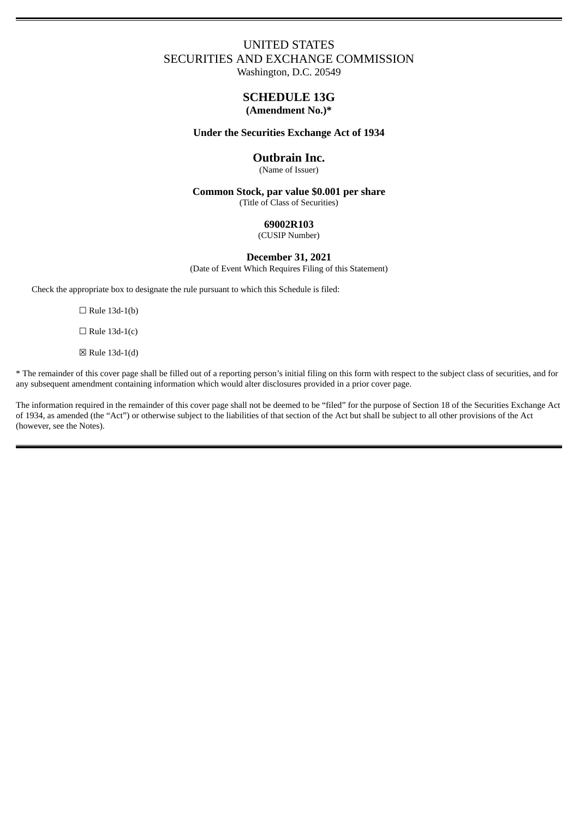# UNITED STATES SECURITIES AND EXCHANGE COMMISSION

Washington, D.C. 20549

# **SCHEDULE 13G (Amendment No.)\***

## **Under the Securities Exchange Act of 1934**

## **Outbrain Inc.**

(Name of Issuer)

**Common Stock, par value \$0.001 per share** (Title of Class of Securities)

## **69002R103**

(CUSIP Number)

# **December 31, 2021**

(Date of Event Which Requires Filing of this Statement)

Check the appropriate box to designate the rule pursuant to which this Schedule is filed:

 $\Box$  Rule 13d-1(b)

 $\Box$  Rule 13d-1(c)

☒ Rule 13d-1(d)

\* The remainder of this cover page shall be filled out of a reporting person's initial filing on this form with respect to the subject class of securities, and for any subsequent amendment containing information which would alter disclosures provided in a prior cover page.

The information required in the remainder of this cover page shall not be deemed to be "filed" for the purpose of Section 18 of the Securities Exchange Act of 1934, as amended (the "Act") or otherwise subject to the liabilities of that section of the Act but shall be subject to all other provisions of the Act (however, see the Notes).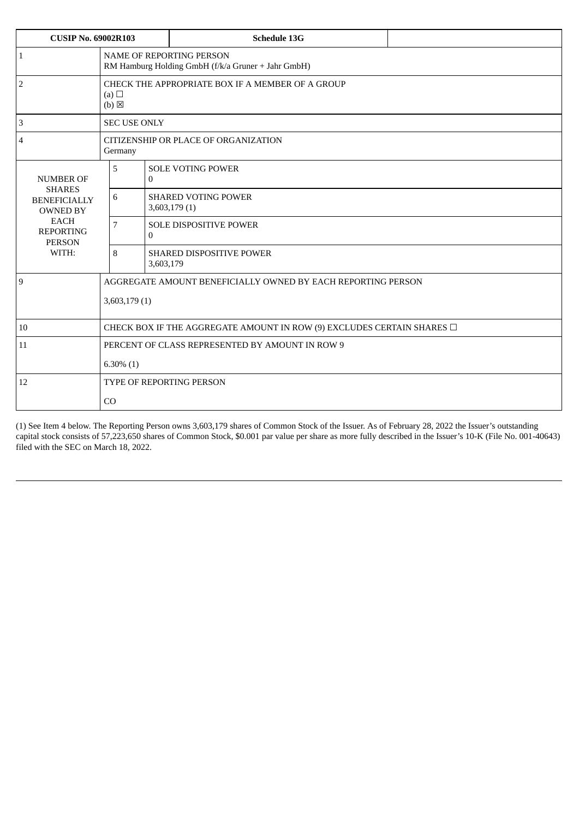| <b>CUSIP No. 69002R103</b>                                                                                                               |                                                                                       |              | <b>Schedule 13G</b>                         |  |  |  |  |  |
|------------------------------------------------------------------------------------------------------------------------------------------|---------------------------------------------------------------------------------------|--------------|---------------------------------------------|--|--|--|--|--|
| $\vert$ 1                                                                                                                                | <b>NAME OF REPORTING PERSON</b><br>RM Hamburg Holding GmbH (f/k/a Gruner + Jahr GmbH) |              |                                             |  |  |  |  |  |
| $\overline{2}$                                                                                                                           | CHECK THE APPROPRIATE BOX IF A MEMBER OF A GROUP<br>(a) $\Box$<br>$(b)$ $\boxtimes$   |              |                                             |  |  |  |  |  |
| 3                                                                                                                                        | <b>SEC USE ONLY</b>                                                                   |              |                                             |  |  |  |  |  |
| $\overline{4}$                                                                                                                           | CITIZENSHIP OR PLACE OF ORGANIZATION<br>Germany                                       |              |                                             |  |  |  |  |  |
| <b>NUMBER OF</b><br><b>SHARES</b><br><b>BENEFICIALLY</b><br><b>OWNED BY</b><br><b>EACH</b><br><b>REPORTING</b><br><b>PERSON</b><br>WITH: | 5                                                                                     | $\Omega$     | <b>SOLE VOTING POWER</b>                    |  |  |  |  |  |
|                                                                                                                                          | 6                                                                                     |              | <b>SHARED VOTING POWER</b><br>3,603,179 (1) |  |  |  |  |  |
|                                                                                                                                          | 7                                                                                     | $\mathbf{0}$ | SOLE DISPOSITIVE POWER                      |  |  |  |  |  |
|                                                                                                                                          | 8                                                                                     | 3,603,179    | <b>SHARED DISPOSITIVE POWER</b>             |  |  |  |  |  |
| 9                                                                                                                                        | AGGREGATE AMOUNT BENEFICIALLY OWNED BY EACH REPORTING PERSON                          |              |                                             |  |  |  |  |  |
|                                                                                                                                          | 3,603,179 (1)                                                                         |              |                                             |  |  |  |  |  |
| 10                                                                                                                                       | CHECK BOX IF THE AGGREGATE AMOUNT IN ROW (9) EXCLUDES CERTAIN SHARES $\Box$           |              |                                             |  |  |  |  |  |
| 11                                                                                                                                       | PERCENT OF CLASS REPRESENTED BY AMOUNT IN ROW 9                                       |              |                                             |  |  |  |  |  |
|                                                                                                                                          | $6.30\%$ (1)                                                                          |              |                                             |  |  |  |  |  |
| 12                                                                                                                                       | <b>TYPE OF REPORTING PERSON</b>                                                       |              |                                             |  |  |  |  |  |
|                                                                                                                                          | C <sub>O</sub>                                                                        |              |                                             |  |  |  |  |  |

(1) See Item 4 below. The Reporting Person owns 3,603,179 shares of Common Stock of the Issuer. As of February 28, 2022 the Issuer's outstanding capital stock consists of 57,223,650 shares of Common Stock, \$0.001 par value per share as more fully described in the Issuer's 10-K (File No. 001-40643) filed with the SEC on March 18, 2022.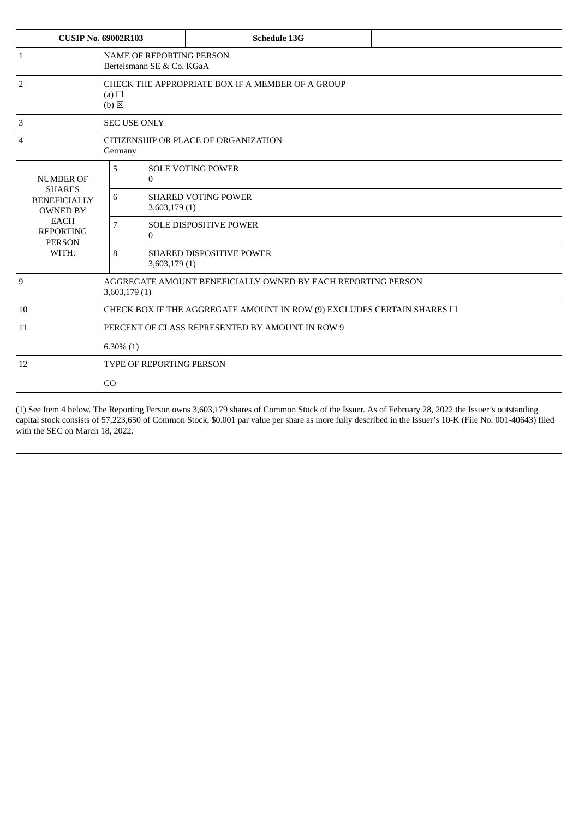| <b>CUSIP No. 69002R103</b>                                                                                           |                                                                                     |               | <b>Schedule 13G</b>                                                         |  |  |  |  |  |
|----------------------------------------------------------------------------------------------------------------------|-------------------------------------------------------------------------------------|---------------|-----------------------------------------------------------------------------|--|--|--|--|--|
| $\mathbf{1}$                                                                                                         | <b>NAME OF REPORTING PERSON</b><br>Bertelsmann SE & Co. KGaA                        |               |                                                                             |  |  |  |  |  |
| $\sqrt{2}$                                                                                                           | CHECK THE APPROPRIATE BOX IF A MEMBER OF A GROUP<br>(a) $\Box$<br>$(b)$ $\boxtimes$ |               |                                                                             |  |  |  |  |  |
| $\ensuremath{\mathsf{3}}$                                                                                            | <b>SEC USE ONLY</b>                                                                 |               |                                                                             |  |  |  |  |  |
| $\overline{4}$                                                                                                       | CITIZENSHIP OR PLACE OF ORGANIZATION<br>Germany                                     |               |                                                                             |  |  |  |  |  |
| <b>NUMBER OF</b>                                                                                                     | 5                                                                                   | $\theta$      | <b>SOLE VOTING POWER</b>                                                    |  |  |  |  |  |
| <b>SHARES</b><br><b>BENEFICIALLY</b><br><b>OWNED BY</b><br><b>EACH</b><br><b>REPORTING</b><br><b>PERSON</b><br>WITH: | 6                                                                                   |               | <b>SHARED VOTING POWER</b><br>3,603,179 (1)                                 |  |  |  |  |  |
|                                                                                                                      | $\overline{7}$                                                                      | $\mathbf{0}$  | <b>SOLE DISPOSITIVE POWER</b>                                               |  |  |  |  |  |
|                                                                                                                      | 8                                                                                   | 3,603,179 (1) | <b>SHARED DISPOSITIVE POWER</b>                                             |  |  |  |  |  |
| 9                                                                                                                    | AGGREGATE AMOUNT BENEFICIALLY OWNED BY EACH REPORTING PERSON<br>3,603,179 (1)       |               |                                                                             |  |  |  |  |  |
| 10                                                                                                                   |                                                                                     |               | CHECK BOX IF THE AGGREGATE AMOUNT IN ROW (9) EXCLUDES CERTAIN SHARES $\Box$ |  |  |  |  |  |
| 11                                                                                                                   | PERCENT OF CLASS REPRESENTED BY AMOUNT IN ROW 9                                     |               |                                                                             |  |  |  |  |  |
|                                                                                                                      | $6.30\%$ (1)                                                                        |               |                                                                             |  |  |  |  |  |
| 12                                                                                                                   | <b>TYPE OF REPORTING PERSON</b>                                                     |               |                                                                             |  |  |  |  |  |
|                                                                                                                      | CO                                                                                  |               |                                                                             |  |  |  |  |  |

(1) See Item 4 below. The Reporting Person owns 3,603,179 shares of Common Stock of the Issuer. As of February 28, 2022 the Issuer's outstanding capital stock consists of 57,223,650 of Common Stock, \$0.001 par value per share as more fully described in the Issuer's 10-K (File No. 001-40643) filed with the SEC on March 18, 2022.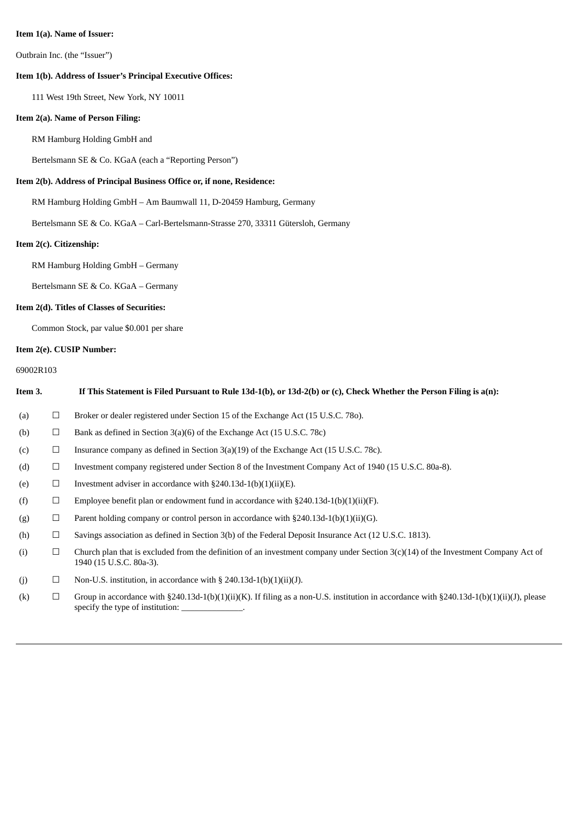#### **Item 1(a). Name of Issuer:**

Outbrain Inc. (the "Issuer")

#### **Item 1(b). Address of Issuer's Principal Executive Offices:**

111 West 19th Street, New York, NY 10011

## **Item 2(a). Name of Person Filing:**

RM Hamburg Holding GmbH and

Bertelsmann SE & Co. KGaA (each a "Reporting Person")

## **Item 2(b). Address of Principal Business Office or, if none, Residence:**

RM Hamburg Holding GmbH – Am Baumwall 11, D-20459 Hamburg, Germany

Bertelsmann SE & Co. KGaA – Carl-Bertelsmann-Strasse 270, 33311 Gütersloh, Germany

## **Item 2(c). Citizenship:**

RM Hamburg Holding GmbH – Germany

Bertelsmann SE & Co. KGaA – Germany

## **Item 2(d). Titles of Classes of Securities:**

Common Stock, par value \$0.001 per share

#### **Item 2(e). CUSIP Number:**

## 69002R103

| Item 3. |        | If This Statement is Filed Pursuant to Rule 13d-1(b), or 13d-2(b) or (c), Check Whether the Person Filing is a(n):                                                                           |
|---------|--------|----------------------------------------------------------------------------------------------------------------------------------------------------------------------------------------------|
| (a)     | $\Box$ | Broker or dealer registered under Section 15 of the Exchange Act (15 U.S.C. 780).                                                                                                            |
| (b)     | $\Box$ | Bank as defined in Section 3(a)(6) of the Exchange Act (15 U.S.C. 78c)                                                                                                                       |
| (c)     | $\Box$ | Insurance company as defined in Section $3(a)(19)$ of the Exchange Act (15 U.S.C. 78c).                                                                                                      |
| (d)     | $\Box$ | Investment company registered under Section 8 of the Investment Company Act of 1940 (15 U.S.C. 80a-8).                                                                                       |
| (e)     | $\Box$ | Investment adviser in accordance with $\S240.13d-1(b)(1)(ii)(E)$ .                                                                                                                           |
| (f)     | $\Box$ | Employee benefit plan or endowment fund in accordance with $\S 240.13d-1(b)(1)(ii)(F)$ .                                                                                                     |
| (g)     | $\Box$ | Parent holding company or control person in accordance with §240.13d-1(b)(1)(ii)(G).                                                                                                         |
| (h)     | $\Box$ | Savings association as defined in Section 3(b) of the Federal Deposit Insurance Act (12 U.S.C. 1813).                                                                                        |
| (i)     | $\Box$ | Church plan that is excluded from the definition of an investment company under Section $3(c)(14)$ of the Investment Company Act of<br>1940 (15 U.S.C. 80a-3).                               |
| (j)     | $\Box$ | Non-U.S. institution, in accordance with $\S$ 240.13d-1(b)(1)(ii)(J).                                                                                                                        |
| (k)     | $\Box$ | Group in accordance with §240.13d-1(b)(1)(ii)(K). If filing as a non-U.S. institution in accordance with §240.13d-1(b)(1)(ii)(J), please<br>specify the type of institution: ______________. |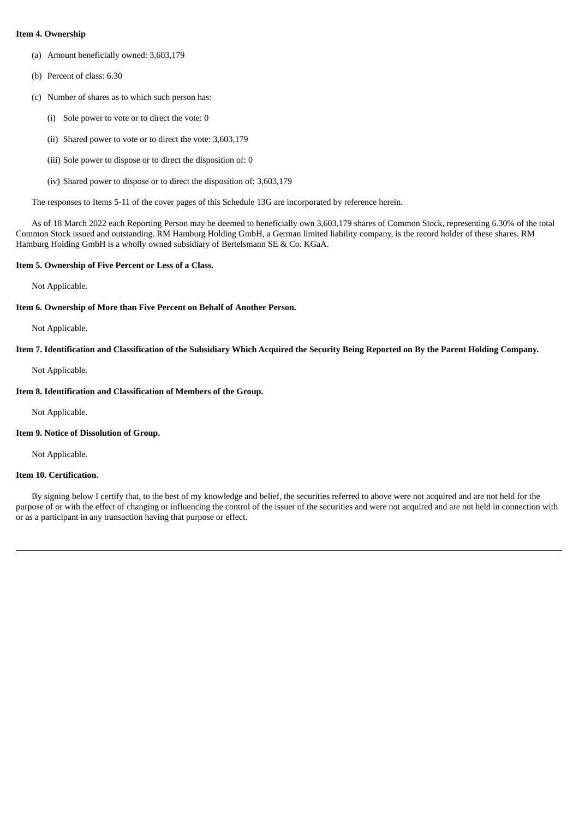#### **Item 4. Ownership**

- (a) Amount beneficially owned: 3,603,179
- (b) Percent of class: 6.30
- (c) Number of shares as to which such person has:
	- (i) Sole power to vote or to direct the vote: 0
	- (ii) Shared power to vote or to direct the vote: 3,603,179
	- (iii) Sole power to dispose or to direct the disposition of: 0
	- (iv) Shared power to dispose or to direct the disposition of: 3,603,179

The responses to Items 5-11 of the cover pages of this Schedule 13G are incorporated by reference herein.

As of 18 March 2022 each Reporting Person may be deemed to beneficially own 3,603,179 shares of Common Stock, representing 6.30% of the total Common Stock issued and outstanding. RM Hamburg Holding GmbH, a German limited liability company, is the record holder of these shares. RM Hamburg Holding GmbH is a wholly owned subsidiary of Bertelsmann SE & Co. KGaA.

#### **Item 5. Ownership of Five Percent or Less of a Class.**

Not Applicable.

#### **Item 6. Ownership of More than Five Percent on Behalf of Another Person.**

Not Applicable.

#### Item 7. Identification and Classification of the Subsidiary Which Acquired the Security Being Reported on By the Parent Holding Company.

Not Applicable.

#### **Item 8. Identification and Classification of Members of the Group.**

Not Applicable.

#### **Item 9. Notice of Dissolution of Group.**

Not Applicable.

#### **Item 10. Certification.**

By signing below I certify that, to the best of my knowledge and belief, the securities referred to above were not acquired and are not held for the purpose of or with the effect of changing or influencing the control of the issuer of the securities and were not acquired and are not held in connection with or as a participant in any transaction having that purpose or effect.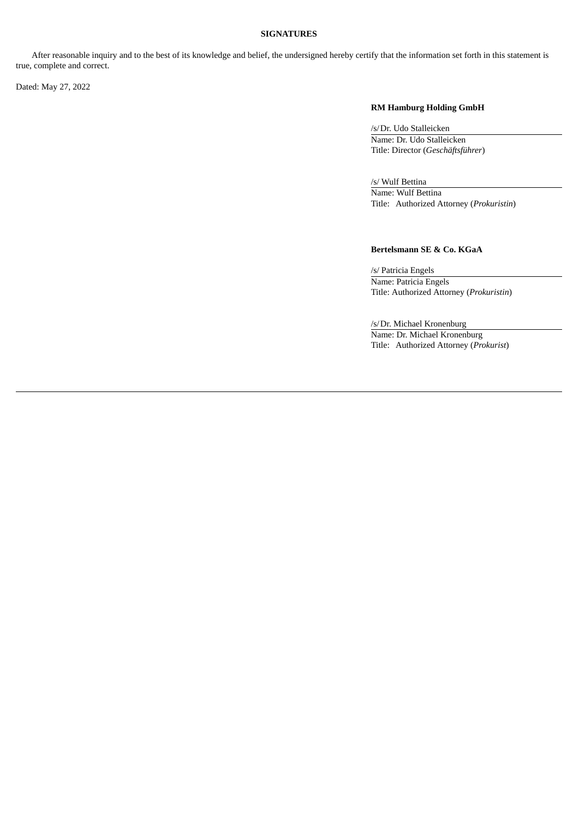#### **SIGNATURES**

After reasonable inquiry and to the best of its knowledge and belief, the undersigned hereby certify that the information set forth in this statement is true, complete and correct.

Dated: May 27, 2022

#### **RM Hamburg Holding GmbH**

/s/Dr. Udo Stalleicken Name: Dr. Udo Stalleicken Title: Director (*Geschäftsführer*)

/s/ Wulf Bettina Name: Wulf Bettina Title: Authorized Attorney (*Prokuristin*)

## **Bertelsmann SE & Co. KGaA**

/s/ Patricia Engels Name: Patricia Engels Title: Authorized Attorney (*Prokuristin*)

/s/Dr. Michael Kronenburg Name: Dr. Michael Kronenburg Title: Authorized Attorney (*Prokurist*)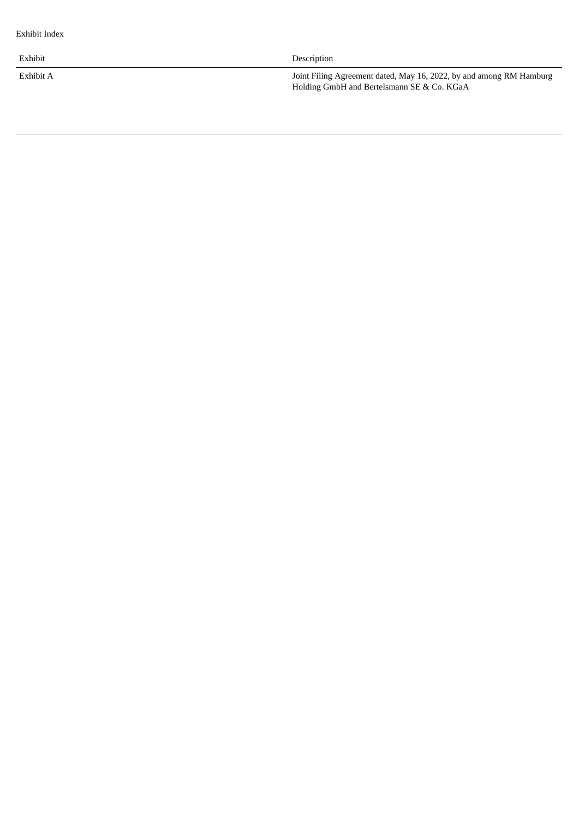Exhibit

Exhibit A

Description

Joint Filing Agreement dated, May 16, 2022, by and among RM Hamburg Holding GmbH and Bertelsmann SE & Co. KGaA